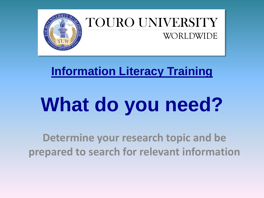

#### TOURO UNIVERSITY WORLDWIDE

#### **Information Literacy Training**

# **What do you need?**

**Determine your research topic and be prepared to search for relevant information**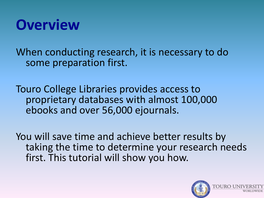

When conducting research, it is necessary to do some preparation first.

Touro College Libraries provides access to proprietary databases with almost 100,000 ebooks and over 56,000 ejournals.

You will save time and achieve better results by taking the time to determine your research needs first. This tutorial will show you how.

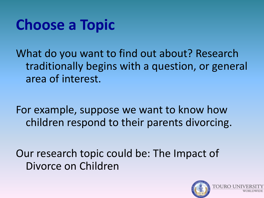#### **Choose a Topic**

What do you want to find out about? Research traditionally begins with a question, or general area of interest.

For example, suppose we want to know how children respond to their parents divorcing.

Our research topic could be: The Impact of Divorce on Children

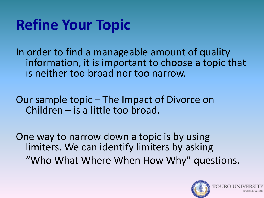# **Refine Your Topic**

In order to find a manageable amount of quality information, it is important to choose a topic that is neither too broad nor too narrow.

Our sample topic – The Impact of Divorce on Children – is a little too broad.

One way to narrow down a topic is by using limiters. We can identify limiters by asking "Who What Where When How Why" questions.

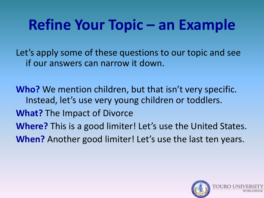# **Refine Your Topic – an Example**

Let's apply some of these questions to our topic and see if our answers can narrow it down.

**Who?** We mention children, but that isn't very specific. Instead, let's use very young children or toddlers. **What?** The Impact of Divorce **Where?** This is a good limiter! Let's use the United States. **When?** Another good limiter! Let's use the last ten years.

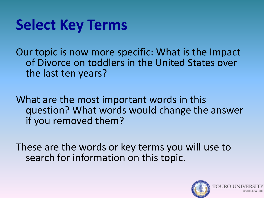#### **Select Key Terms**

Our topic is now more specific: What is the Impact of Divorce on toddlers in the United States over the last ten years?

What are the most important words in this question? What words would change the answer if you removed them?

These are the words or key terms you will use to search for information on this topic.

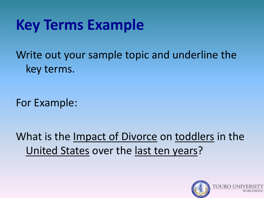#### **Key Terms Example**

Write out your sample topic and underline the key terms.

For Example:

What is the Impact of Divorce on toddlers in the United States over the last ten years?

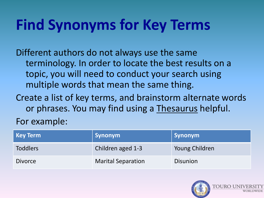# **Find Synonyms for Key Terms**

Different authors do not always use the same terminology. In order to locate the best results on a topic, you will need to conduct your search using multiple words that mean the same thing.

Create a list of key terms, and brainstorm alternate words or phrases. You may find using a Thesaurus helpful.

For example:

| <b>Key Term</b> | Synonym                   | Synonym         |
|-----------------|---------------------------|-----------------|
| <b>Toddlers</b> | Children aged 1-3         | Young Children  |
| <b>Divorce</b>  | <b>Marital Separation</b> | <b>Disunion</b> |

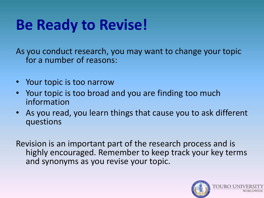# **Be Ready to Revise!**

As you conduct research, you may want to change your topic for a number of reasons:

- Your topic is too narrow
- Your topic is too broad and you are finding too much information
- As you read, you learn things that cause you to ask different questions

Revision is an important part of the research process and is highly encouraged. Remember to keep track your key terms and synonyms as you revise your topic.

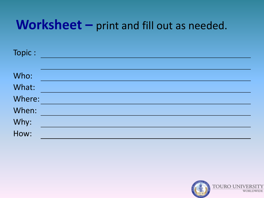#### Worksheet - print and fill out as needed.

| Topic:       |  |
|--------------|--|
| Who:         |  |
| What:        |  |
| Where:       |  |
| When:        |  |
|              |  |
| Why:<br>How: |  |

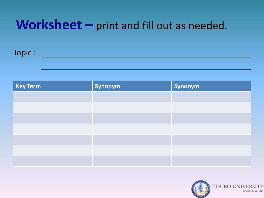#### Worksheet - print and fill out as needed.

#### Topic :

| <b>Key Term</b> | Synonym | Synonym |
|-----------------|---------|---------|
|                 |         |         |
|                 |         |         |
|                 |         |         |
|                 |         |         |
|                 |         |         |
|                 |         |         |
|                 |         |         |